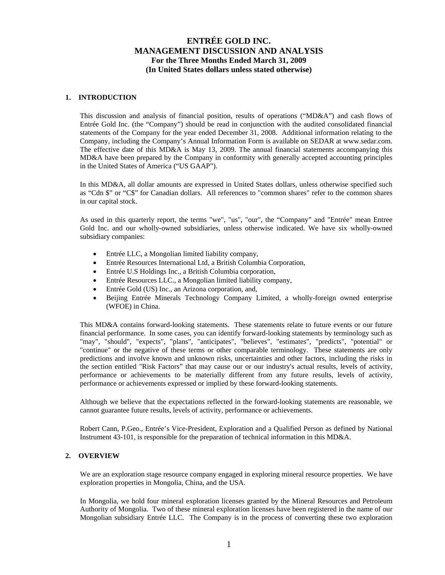## **1. INTRODUCTION**

This discussion and analysis of financial position, results of operations ("MD&A") and cash flows of Entrée Gold Inc. (the "Company") should be read in conjunction with the audited consolidated financial statements of the Company for the year ended December 31, 2008. Additional information relating to the Company, including the Company's Annual Information Form is available on SEDAR at www.sedar.com. The effective date of this MD&A is May 13, 2009. The annual financial statements accompanying this MD&A have been prepared by the Company in conformity with generally accepted accounting principles in the United States of America ("US GAAP").

In this MD&A, all dollar amounts are expressed in United States dollars, unless otherwise specified such as "Cdn \$" or "C\$" for Canadian dollars. All references to "common shares" refer to the common shares in our capital stock.

As used in this quarterly report, the terms "we", "us", "our", the "Company" and "Entrée" mean Entree Gold Inc. and our wholly-owned subsidiaries, unless otherwise indicated. We have six wholly-owned subsidiary companies:

- Entrée LLC, a Mongolian limited liability company,
- Entrée Resources International Ltd, a British Columbia Corporation,
- Entrée U.S Holdings Inc., a British Columbia corporation,
- Entrée Resources LLC., a Mongolian limited liability company,
- Entrée Gold (US) Inc., an Arizona corporation, and,
- Beijing Entrée Minerals Technology Company Limited, a wholly-foreign owned enterprise (WFOE) in China.

This MD&A contains forward-looking statements. These statements relate to future events or our future financial performance. In some cases, you can identify forward-looking statements by terminology such as "may", "should", "expects", "plans", "anticipates", "believes", "estimates", "predicts", "potential" or "continue" or the negative of these terms or other comparable terminology. These statements are only predictions and involve known and unknown risks, uncertainties and other factors, including the risks in the section entitled "Risk Factors" that may cause our or our industry's actual results, levels of activity, performance or achievements to be materially different from any future results, levels of activity, performance or achievements expressed or implied by these forward-looking statements.

Although we believe that the expectations reflected in the forward-looking statements are reasonable, we cannot guarantee future results, levels of activity, performance or achievements.

Robert Cann, P.Geo., Entrée's Vice-President, Exploration and a Qualified Person as defined by National Instrument 43-101, is responsible for the preparation of technical information in this MD&A.

## **2. OVERVIEW**

We are an exploration stage resource company engaged in exploring mineral resource properties. We have exploration properties in Mongolia, China, and the USA.

In Mongolia, we hold four mineral exploration licenses granted by the Mineral Resources and Petroleum Authority of Mongolia. Two of these mineral exploration licenses have been registered in the name of our Mongolian subsidiary Entrée LLC. The Company is in the process of converting these two exploration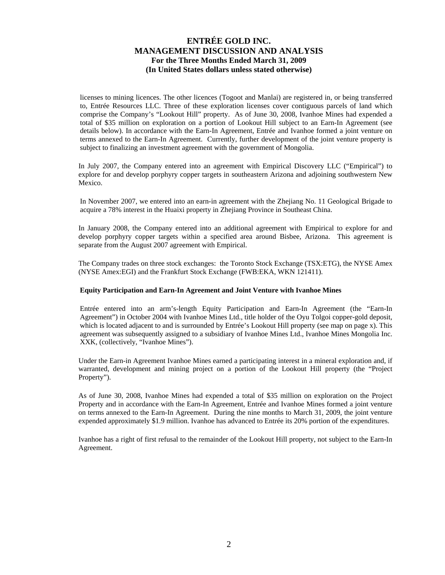licenses to mining licences. The other licences (Togoot and Manlai) are registered in, or being transferred to, Entrée Resources LLC. Three of these exploration licenses cover contiguous parcels of land which comprise the Company's "Lookout Hill" property. As of June 30, 2008, Ivanhoe Mines had expended a total of \$35 million on exploration on a portion of Lookout Hill subject to an Earn-In Agreement (see details below). In accordance with the Earn-In Agreement, Entrée and Ivanhoe formed a joint venture on terms annexed to the Earn-In Agreement. Currently, further development of the joint venture property is subject to finalizing an investment agreement with the government of Mongolia.

In July 2007, the Company entered into an agreement with Empirical Discovery LLC ("Empirical") to explore for and develop porphyry copper targets in southeastern Arizona and adjoining southwestern New Mexico.

In November 2007, we entered into an earn-in agreement with the Zhejiang No. 11 Geological Brigade to acquire a 78% interest in the Huaixi property in Zhejiang Province in Southeast China.

In January 2008, the Company entered into an additional agreement with Empirical to explore for and develop porphyry copper targets within a specified area around Bisbee, Arizona. This agreement is separate from the August 2007 agreement with Empirical.

The Company trades on three stock exchanges: the Toronto Stock Exchange (TSX:ETG), the NYSE Amex (NYSE Amex:EGI) and the Frankfurt Stock Exchange (FWB:EKA, WKN 121411).

### **Equity Participation and Earn-In Agreement and Joint Venture with Ivanhoe Mines**

Entrée entered into an arm's-length Equity Participation and Earn-In Agreement (the "Earn-In Agreement") in October 2004 with Ivanhoe Mines Ltd., title holder of the Oyu Tolgoi copper-gold deposit, which is located adjacent to and is surrounded by Entrée's Lookout Hill property (see map on page x). This agreement was subsequently assigned to a subsidiary of Ivanhoe Mines Ltd., Ivanhoe Mines Mongolia Inc. XXK, (collectively, "Ivanhoe Mines").

Under the Earn-in Agreement Ivanhoe Mines earned a participating interest in a mineral exploration and, if warranted, development and mining project on a portion of the Lookout Hill property (the "Project Property").

As of June 30, 2008, Ivanhoe Mines had expended a total of \$35 million on exploration on the Project Property and in accordance with the Earn-In Agreement, Entrée and Ivanhoe Mines formed a joint venture on terms annexed to the Earn-In Agreement. During the nine months to March 31, 2009, the joint venture expended approximately \$1.9 million. Ivanhoe has advanced to Entrée its 20% portion of the expenditures.

Ivanhoe has a right of first refusal to the remainder of the Lookout Hill property, not subject to the Earn-In Agreement.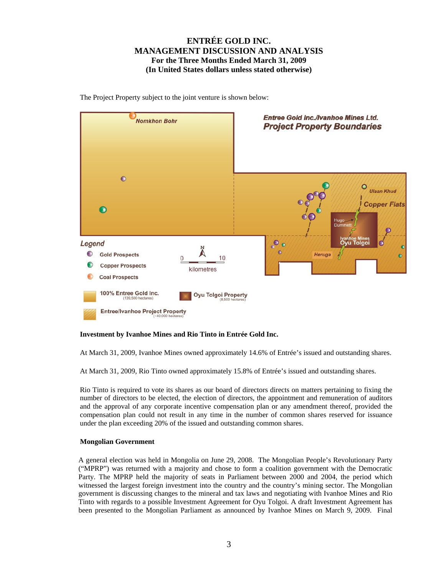Entree Gold Inc./Ivanhoe Mines Ltd. **Nomkhon Bohr Project Property Boundaries**  $\bullet$ **Ulaan Khud Copper Flats**  $\bullet$ Oyu Tolgo  $\bullet$ Legend  $\bullet$  $\bigcirc$ **Gold Prospects** Heruga  $\Omega$  $10$ **Copper Prospects** kilometres **Coal Prospects** 100% Entree Gold Inc. **Oyu Tolgoi Property Entree/Ivanhoe Project Property** 

The Project Property subject to the joint venture is shown below:

### **Investment by Ivanhoe Mines and Rio Tinto in Entrée Gold Inc.**

At March 31, 2009, Ivanhoe Mines owned approximately 14.6% of Entrée's issued and outstanding shares.

At March 31, 2009, Rio Tinto owned approximately 15.8% of Entrée's issued and outstanding shares.

Rio Tinto is required to vote its shares as our board of directors directs on matters pertaining to fixing the number of directors to be elected, the election of directors, the appointment and remuneration of auditors and the approval of any corporate incentive compensation plan or any amendment thereof, provided the compensation plan could not result in any time in the number of common shares reserved for issuance under the plan exceeding 20% of the issued and outstanding common shares.

### **Mongolian Government**

A general election was held in Mongolia on June 29, 2008. The Mongolian People's Revolutionary Party ("MPRP") was returned with a majority and chose to form a coalition government with the Democratic Party. The MPRP held the majority of seats in Parliament between 2000 and 2004, the period which witnessed the largest foreign investment into the country and the country's mining sector. The Mongolian government is discussing changes to the mineral and tax laws and negotiating with Ivanhoe Mines and Rio Tinto with regards to a possible Investment Agreement for Oyu Tolgoi. A draft Investment Agreement has been presented to the Mongolian Parliament as announced by Ivanhoe Mines on March 9, 2009. Final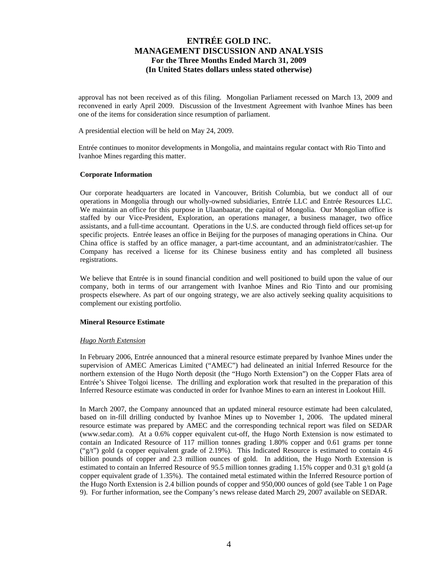approval has not been received as of this filing. Mongolian Parliament recessed on March 13, 2009 and reconvened in early April 2009. Discussion of the Investment Agreement with Ivanhoe Mines has been one of the items for consideration since resumption of parliament.

A presidential election will be held on May 24, 2009.

Entrée continues to monitor developments in Mongolia, and maintains regular contact with Rio Tinto and Ivanhoe Mines regarding this matter.

### **Corporate Information**

Our corporate headquarters are located in Vancouver, British Columbia, but we conduct all of our operations in Mongolia through our wholly-owned subsidiaries, Entrée LLC and Entrée Resources LLC. We maintain an office for this purpose in Ulaanbaatar, the capital of Mongolia. Our Mongolian office is staffed by our Vice-President, Exploration, an operations manager, a business manager, two office assistants, and a full-time accountant. Operations in the U.S. are conducted through field offices set-up for specific projects. Entrée leases an office in Beijing for the purposes of managing operations in China. Our China office is staffed by an office manager, a part-time accountant, and an administrator/cashier. The Company has received a license for its Chinese business entity and has completed all business registrations.

We believe that Entrée is in sound financial condition and well positioned to build upon the value of our company, both in terms of our arrangement with Ivanhoe Mines and Rio Tinto and our promising prospects elsewhere. As part of our ongoing strategy, we are also actively seeking quality acquisitions to complement our existing portfolio.

### **Mineral Resource Estimate**

### *Hugo North Extension*

In February 2006, Entrée announced that a mineral resource estimate prepared by Ivanhoe Mines under the supervision of AMEC Americas Limited ("AMEC") had delineated an initial Inferred Resource for the northern extension of the Hugo North deposit (the "Hugo North Extension") on the Copper Flats area of Entrée's Shivee Tolgoi license. The drilling and exploration work that resulted in the preparation of this Inferred Resource estimate was conducted in order for Ivanhoe Mines to earn an interest in Lookout Hill.

In March 2007, the Company announced that an updated mineral resource estimate had been calculated, based on in-fill drilling conducted by Ivanhoe Mines up to November 1, 2006. The updated mineral resource estimate was prepared by AMEC and the corresponding technical report was filed on SEDAR (www.sedar.com). At a 0.6% copper equivalent cut-off, the Hugo North Extension is now estimated to contain an Indicated Resource of 117 million tonnes grading 1.80% copper and 0.61 grams per tonne ("g/t") gold (a copper equivalent grade of 2.19%). This Indicated Resource is estimated to contain 4.6 billion pounds of copper and 2.3 million ounces of gold. In addition, the Hugo North Extension is estimated to contain an Inferred Resource of 95.5 million tonnes grading 1.15% copper and 0.31 g/t gold (a copper equivalent grade of 1.35%). The contained metal estimated within the Inferred Resource portion of the Hugo North Extension is 2.4 billion pounds of copper and 950,000 ounces of gold (see Table 1 on Page 9). For further information, see the Company's news release dated March 29, 2007 available on SEDAR.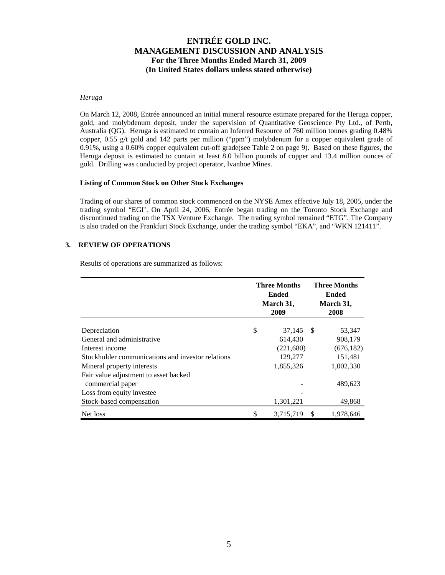### *Heruga*

On March 12, 2008, Entrée announced an initial mineral resource estimate prepared for the Heruga copper, gold, and molybdenum deposit, under the supervision of Quantitative Geoscience Pty Ltd., of Perth, Australia (QG). Heruga is estimated to contain an Inferred Resource of 760 million tonnes grading 0.48% copper, 0.55 g/t gold and 142 parts per million ("ppm") molybdenum for a copper equivalent grade of 0.91%, using a 0.60% copper equivalent cut-off grade(see Table 2 on page 9). Based on these figures, the Heruga deposit is estimated to contain at least 8.0 billion pounds of copper and 13.4 million ounces of gold. Drilling was conducted by project operator, Ivanhoe Mines.

#### **Listing of Common Stock on Other Stock Exchanges**

Trading of our shares of common stock commenced on the NYSE Amex effective July 18, 2005, under the trading symbol "EGI'. On April 24, 2006, Entrée began trading on the Toronto Stock Exchange and discontinued trading on the TSX Venture Exchange. The trading symbol remained "ETG". The Company is also traded on the Frankfurt Stock Exchange, under the trading symbol "EKA", and "WKN 121411".

## **3. REVIEW OF OPERATIONS**

Results of operations are summarized as follows:

|                                                   | Three Months<br><b>Ended</b><br>March 31,<br>2009 | <b>Three Months</b><br><b>Ended</b><br>March 31,<br>2008 |
|---------------------------------------------------|---------------------------------------------------|----------------------------------------------------------|
| Depreciation                                      | \$<br>37,145 \$                                   | 53,347                                                   |
| General and administrative                        | 614.430                                           | 908,179                                                  |
| Interest income                                   | (221,680)                                         | (676, 182)                                               |
| Stockholder communications and investor relations | 129,277                                           | 151,481                                                  |
| Mineral property interests                        | 1,855,326                                         | 1,002,330                                                |
| Fair value adjustment to asset backed             |                                                   |                                                          |
| commercial paper                                  |                                                   | 489,623                                                  |
| Loss from equity investee                         |                                                   |                                                          |
| Stock-based compensation                          | 1,301,221                                         | 49,868                                                   |
| Net loss                                          | \$<br>3,715,719                                   | \$<br>1,978,646                                          |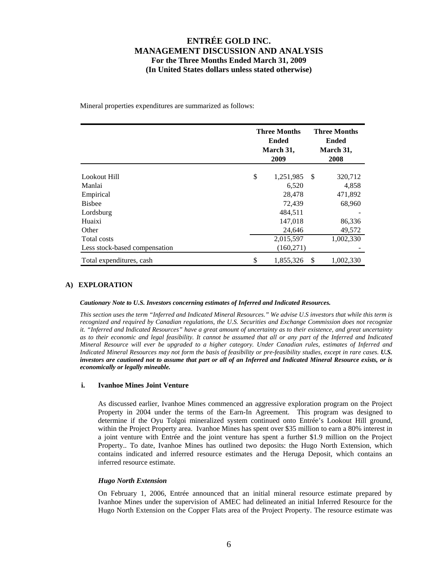Mineral properties expenditures are summarized as follows:

|                               | <b>Three Months</b><br>Ended<br>March 31,<br>2009 |      | <b>Three Months</b><br>Ended<br>March 31,<br>2008 |
|-------------------------------|---------------------------------------------------|------|---------------------------------------------------|
| Lookout Hill                  | \$<br>1,251,985                                   | - \$ | 320,712                                           |
| Manlai                        | 6,520                                             |      | 4,858                                             |
| Empirical                     | 28,478                                            |      | 471,892                                           |
| <b>Bisbee</b>                 | 72,439                                            |      | 68,960                                            |
| Lordsburg                     | 484,511                                           |      |                                                   |
| Huaixi                        | 147,018                                           |      | 86,336                                            |
| Other                         | 24,646                                            |      | 49,572                                            |
| Total costs                   | 2,015,597                                         |      | 1,002,330                                         |
| Less stock-based compensation | (160, 271)                                        |      |                                                   |
| Total expenditures, cash      | \$<br>1,855,326                                   | S    | 1,002,330                                         |

### **A) EXPLORATION**

*Cautionary Note to U.S. Investors concerning estimates of Inferred and Indicated Resources.* 

*This section uses the term "Inferred and Indicated Mineral Resources." We advise U.S investors that while this term is recognized and required by Canadian regulations, the U.S. Securities and Exchange Commission does not recognize it. "Inferred and Indicated Resources" have a great amount of uncertainty as to their existence, and great uncertainty as to their economic and legal feasibility. It cannot be assumed that all or any part of the Inferred and Indicated Mineral Resource will ever be upgraded to a higher category. Under Canadian rules, estimates of Inferred and Indicated Mineral Resources may not form the basis of feasibility or pre-feasibility studies, except in rare cases. U.S. investors are cautioned not to assume that part or all of an Inferred and Indicated Mineral Resource exists, or is economically or legally mineable.* 

### **i. Ivanhoe Mines Joint Venture**

As discussed earlier, Ivanhoe Mines commenced an aggressive exploration program on the Project Property in 2004 under the terms of the Earn-In Agreement. This program was designed to determine if the Oyu Tolgoi mineralized system continued onto Entrée's Lookout Hill ground, within the Project Property area. Ivanhoe Mines has spent over \$35 million to earn a 80% interest in a joint venture with Entrée and the joint venture has spent a further \$1.9 million on the Project Property.. To date, Ivanhoe Mines has outlined two deposits: the Hugo North Extension, which contains indicated and inferred resource estimates and the Heruga Deposit, which contains an inferred resource estimate.

### *Hugo North Extension*

On February 1, 2006, Entrée announced that an initial mineral resource estimate prepared by Ivanhoe Mines under the supervision of AMEC had delineated an initial Inferred Resource for the Hugo North Extension on the Copper Flats area of the Project Property. The resource estimate was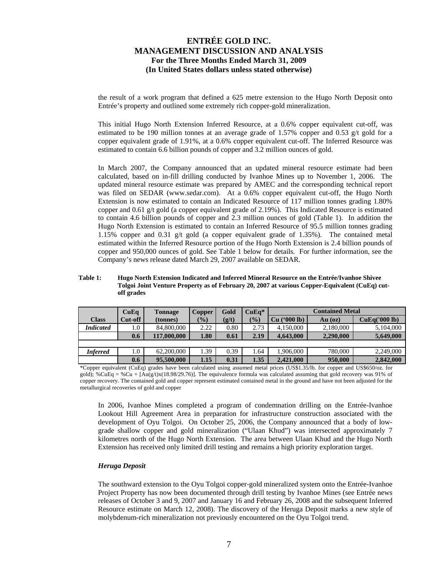the result of a work program that defined a 625 metre extension to the Hugo North Deposit onto Entrée's property and outlined some extremely rich copper-gold mineralization.

This initial Hugo North Extension Inferred Resource, at a 0.6% copper equivalent cut-off, was estimated to be 190 million tonnes at an average grade of 1.57% copper and 0.53 g/t gold for a copper equivalent grade of 1.91%, at a 0.6% copper equivalent cut-off. The Inferred Resource was estimated to contain 6.6 billion pounds of copper and 3.2 million ounces of gold.

In March 2007, the Company announced that an updated mineral resource estimate had been calculated, based on in-fill drilling conducted by Ivanhoe Mines up to November 1, 2006. The updated mineral resource estimate was prepared by AMEC and the corresponding technical report was filed on SEDAR (www.sedar.com). At a 0.6% copper equivalent cut-off, the Hugo North Extension is now estimated to contain an Indicated Resource of 117 million tonnes grading 1.80% copper and 0.61 g/t gold (a copper equivalent grade of 2.19%). This Indicated Resource is estimated to contain 4.6 billion pounds of copper and 2.3 million ounces of gold (Table 1). In addition the Hugo North Extension is estimated to contain an Inferred Resource of 95.5 million tonnes grading 1.15% copper and 0.31 g/t gold (a copper equivalent grade of 1.35%). The contained metal estimated within the Inferred Resource portion of the Hugo North Extension is 2.4 billion pounds of copper and 950,000 ounces of gold. See Table 1 below for details. For further information, see the Company's news release dated March 29, 2007 available on SEDAR.

#### **Table 1: Hugo North Extension Indicated and Inferred Mineral Resource on the Entrée/Ivanhoe Shivee Tolgoi Joint Venture Property as of February 20, 2007 at various Copper-Equivalent (CuEq) cutoff grades**

|                  | CuEq    | <b>Tonnage</b> | Copper | Gold  | $CuEa*$       | <b>Contained Metal</b>   |           |               |  |
|------------------|---------|----------------|--------|-------|---------------|--------------------------|-----------|---------------|--|
| <b>Class</b>     | Cut-off | (tonnes)       | $(\%)$ | (g/t) | $\frac{1}{2}$ | $(900 \text{ lb})$<br>Cu | $Au$ (oz) | CuEq('000 lb) |  |
| <b>Indicated</b> | 0.1     | 84,800,000     | 2.22   | 0.80  | 2.73          | 4,150,000                | 2,180,000 | 5,104,000     |  |
|                  | 0.6     | 117,000,000    | 1.80   | 0.61  | 2.19          | 4,643,000                | 2,290,000 | 5,649,000     |  |
|                  |         |                |        |       |               |                          |           |               |  |
| <b>Inferred</b>  | 0.1     | 62,200,000     | 1.39   | 0.39  | 1.64          | 1.906.000                | 780,000   | 2,249,000     |  |
|                  | 0.6     | 95,500,000     | 1.15   | 0.31  | 1.35          | 2.421,000                | 950,000   | 2,842,000     |  |

\*Copper equivalent (CuEq) grades have been calculated using assumed metal prices (US\$1.35/lb. for copper and US\$650/oz. for gold); %CuEq = %Cu +  $[Au(g/t)x(18.98/29.76)]$ . The equivalence formula was calculated assuming that gold recovery was 91% of copper recovery. The contained gold and copper represent estimated contained metal in the ground and have not been adjusted for the metallurgical recoveries of gold and copper

In 2006, Ivanhoe Mines completed a program of condemnation drilling on the Entrée-Ivanhoe Lookout Hill Agreement Area in preparation for infrastructure construction associated with the development of Oyu Tolgoi. On October 25, 2006, the Company announced that a body of lowgrade shallow copper and gold mineralization ("Ulaan Khud") was intersected approximately 7 kilometres north of the Hugo North Extension. The area between Ulaan Khud and the Hugo North Extension has received only limited drill testing and remains a high priority exploration target.

## *Heruga Deposit*

The southward extension to the Oyu Tolgoi copper-gold mineralized system onto the Entrée-Ivanhoe Project Property has now been documented through drill testing by Ivanhoe Mines (see Entrée news releases of October 3 and 9, 2007 and January 16 and February 26, 2008 and the subsequent Inferred Resource estimate on March 12, 2008). The discovery of the Heruga Deposit marks a new style of molybdenum-rich mineralization not previously encountered on the Oyu Tolgoi trend.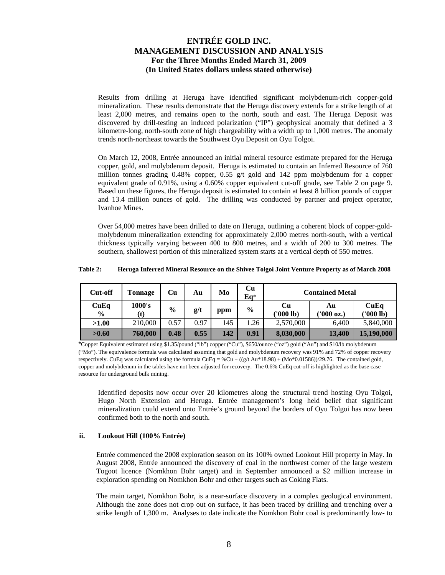Results from drilling at Heruga have identified significant molybdenum-rich copper-gold mineralization. These results demonstrate that the Heruga discovery extends for a strike length of at least 2,000 metres, and remains open to the north, south and east. The Heruga Deposit was discovered by drill-testing an induced polarization ("IP") geophysical anomaly that defined a 3 kilometre-long, north-south zone of high chargeability with a width up to 1,000 metres. The anomaly trends north-northeast towards the Southwest Oyu Deposit on Oyu Tolgoi.

On March 12, 2008, Entrée announced an initial mineral resource estimate prepared for the Heruga copper, gold, and molybdenum deposit. Heruga is estimated to contain an Inferred Resource of 760 million tonnes grading 0.48% copper, 0.55 g/t gold and 142 ppm molybdenum for a copper equivalent grade of 0.91%, using a 0.60% copper equivalent cut-off grade, see Table 2 on page 9. Based on these figures, the Heruga deposit is estimated to contain at least 8 billion pounds of copper and 13.4 million ounces of gold. The drilling was conducted by partner and project operator, Ivanhoe Mines.

Over 54,000 metres have been drilled to date on Heruga, outlining a coherent block of copper-goldmolybdenum mineralization extending for approximately 2,000 metres north-south, with a vertical thickness typically varying between 400 to 800 metres, and a width of 200 to 300 metres. The southern, shallowest portion of this mineralized system starts at a vertical depth of 550 metres.

| Table 2: | Heruga Inferred Mineral Resource on the Shivee Tolgoi Joint Venture Property as of March 2008 |
|----------|-----------------------------------------------------------------------------------------------|
|          |                                                                                               |

| Cut-off               | <b>Tonnage</b> | Cu            | Au   | Mo  | Cu<br>Eq*     | <b>Contained Metal</b> |                 |                   |
|-----------------------|----------------|---------------|------|-----|---------------|------------------------|-----------------|-------------------|
| CuEq<br>$\frac{0}{0}$ | 1000's<br>(t)  | $\frac{0}{0}$ | g/t  | ppm | $\frac{6}{9}$ | Cи<br>('000 lb)        | Au<br>'000 oz.) | CuEq<br>('000 lb) |
| >1.00                 | 210,000        | 0.57          | 0.97 | 145 | 1.26          | 2,570,000              | 6.400           | 5,840,000         |
| >0.60                 | 760,000        | 0.48          | 0.55 | 142 | 0.91          | 8,030,000              | 13,400          | 15,190,000        |

\*Copper Equivalent estimated using \$1.35/pound ("lb") copper ("Cu"), \$650/ounce ("oz") gold ("Au") and \$10/lb molybdenum ("Mo"). The equivalence formula was calculated assuming that gold and molybdenum recovery was 91% and 72% of copper recovery respectively. CuEq was calculated using the formula CuEq = %Cu + ((g/t Au\*18.98) + (Mo\*0.01586))/29.76. The contained gold, copper and molybdenum in the tables have not been adjusted for recovery. The 0.6% CuEq cut-off is highlighted as the base case resource for underground bulk mining.

Identified deposits now occur over 20 kilometres along the structural trend hosting Oyu Tolgoi, Hugo North Extension and Heruga. Entrée management's long held belief that significant mineralization could extend onto Entrée's ground beyond the borders of Oyu Tolgoi has now been confirmed both to the north and south.

## **ii. Lookout Hill (100% Entrée)**

Entrée commenced the 2008 exploration season on its 100% owned Lookout Hill property in May. In August 2008, Entrée announced the discovery of coal in the northwest corner of the large western Togoot licence (Nomkhon Bohr target) and in September announced a \$2 million increase in exploration spending on Nomkhon Bohr and other targets such as Coking Flats.

The main target, Nomkhon Bohr, is a near-surface discovery in a complex geological environment. Although the zone does not crop out on surface, it has been traced by drilling and trenching over a strike length of 1,300 m. Analyses to date indicate the Nomkhon Bohr coal is predominantly low- to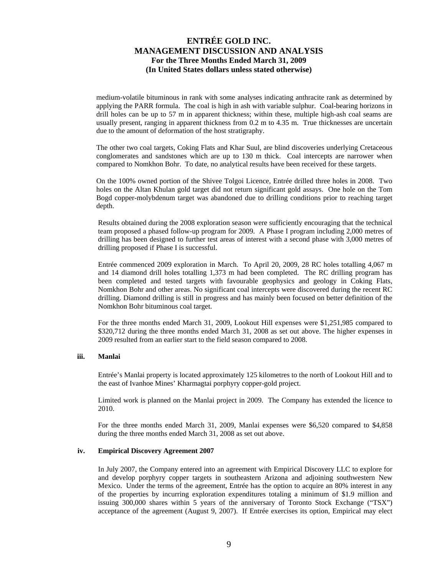medium-volatile bituminous in rank with some analyses indicating anthracite rank as determined by applying the PARR formula. The coal is high in ash with variable sulphur. Coal-bearing horizons in drill holes can be up to 57 m in apparent thickness; within these, multiple high-ash coal seams are usually present, ranging in apparent thickness from 0.2 m to 4.35 m. True thicknesses are uncertain due to the amount of deformation of the host stratigraphy.

The other two coal targets, Coking Flats and Khar Suul, are blind discoveries underlying Cretaceous conglomerates and sandstones which are up to 130 m thick. Coal intercepts are narrower when compared to Nomkhon Bohr. To date, no analytical results have been received for these targets.

On the 100% owned portion of the Shivee Tolgoi Licence, Entrée drilled three holes in 2008. Two holes on the Altan Khulan gold target did not return significant gold assays. One hole on the Tom Bogd copper-molybdenum target was abandoned due to drilling conditions prior to reaching target depth.

Results obtained during the 2008 exploration season were sufficiently encouraging that the technical team proposed a phased follow-up program for 2009. A Phase I program including 2,000 metres of drilling has been designed to further test areas of interest with a second phase with 3,000 metres of drilling proposed if Phase I is successful.

Entrée commenced 2009 exploration in March. To April 20, 2009, 28 RC holes totalling 4,067 m and 14 diamond drill holes totalling 1,373 m had been completed. The RC drilling program has been completed and tested targets with favourable geophysics and geology in Coking Flats, Nomkhon Bohr and other areas. No significant coal intercepts were discovered during the recent RC drilling. Diamond drilling is still in progress and has mainly been focused on better definition of the Nomkhon Bohr bituminous coal target.

For the three months ended March 31, 2009, Lookout Hill expenses were \$1,251,985 compared to \$320,712 during the three months ended March 31, 2008 as set out above. The higher expenses in 2009 resulted from an earlier start to the field season compared to 2008.

### **iii. Manlai**

Entrée's Manlai property is located approximately 125 kilometres to the north of Lookout Hill and to the east of Ivanhoe Mines' Kharmagtai porphyry copper-gold project.

Limited work is planned on the Manlai project in 2009. The Company has extended the licence to 2010.

For the three months ended March 31, 2009, Manlai expenses were \$6,520 compared to \$4,858 during the three months ended March 31, 2008 as set out above.

### **iv. Empirical Discovery Agreement 2007**

In July 2007, the Company entered into an agreement with Empirical Discovery LLC to explore for and develop porphyry copper targets in southeastern Arizona and adjoining southwestern New Mexico. Under the terms of the agreement, Entrée has the option to acquire an 80% interest in any of the properties by incurring exploration expenditures totaling a minimum of \$1.9 million and issuing 300,000 shares within 5 years of the anniversary of Toronto Stock Exchange ("TSX") acceptance of the agreement (August 9, 2007). If Entrée exercises its option, Empirical may elect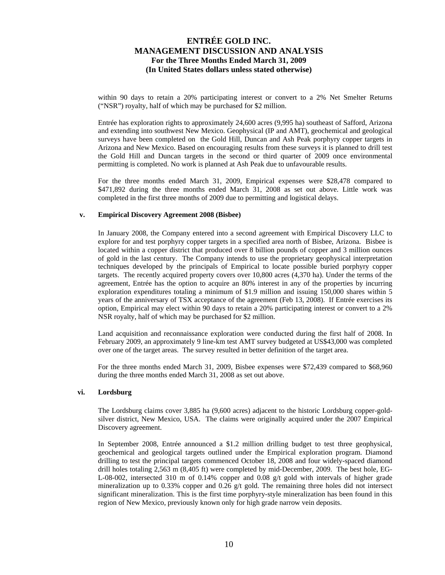within 90 days to retain a 20% participating interest or convert to a 2% Net Smelter Returns ("NSR") royalty, half of which may be purchased for \$2 million.

Entrée has exploration rights to approximately 24,600 acres (9,995 ha) southeast of Safford, Arizona and extending into southwest New Mexico. Geophysical (IP and AMT), geochemical and geological surveys have been completed on the Gold Hill, Duncan and Ash Peak porphyry copper targets in Arizona and New Mexico. Based on encouraging results from these surveys it is planned to drill test the Gold Hill and Duncan targets in the second or third quarter of 2009 once environmental permitting is completed. No work is planned at Ash Peak due to unfavourable results.

For the three months ended March 31, 2009, Empirical expenses were \$28,478 compared to \$471,892 during the three months ended March 31, 2008 as set out above. Little work was completed in the first three months of 2009 due to permitting and logistical delays.

### **v. Empirical Discovery Agreement 2008 (Bisbee)**

In January 2008, the Company entered into a second agreement with Empirical Discovery LLC to explore for and test porphyry copper targets in a specified area north of Bisbee, Arizona. Bisbee is located within a copper district that produced over 8 billion pounds of copper and 3 million ounces of gold in the last century. The Company intends to use the proprietary geophysical interpretation techniques developed by the principals of Empirical to locate possible buried porphyry copper targets. The recently acquired property covers over 10,800 acres (4,370 ha). Under the terms of the agreement, Entrée has the option to acquire an 80% interest in any of the properties by incurring exploration expenditures totaling a minimum of \$1.9 million and issuing 150,000 shares within 5 years of the anniversary of TSX acceptance of the agreement (Feb 13, 2008). If Entrée exercises its option, Empirical may elect within 90 days to retain a 20% participating interest or convert to a 2% NSR royalty, half of which may be purchased for \$2 million.

Land acquisition and reconnaissance exploration were conducted during the first half of 2008. In February 2009, an approximately 9 line-km test AMT survey budgeted at US\$43,000 was completed over one of the target areas. The survey resulted in better definition of the target area.

For the three months ended March 31, 2009, Bisbee expenses were \$72,439 compared to \$68,960 during the three months ended March 31, 2008 as set out above.

#### **vi. Lordsburg**

The Lordsburg claims cover 3,885 ha (9,600 acres) adjacent to the historic Lordsburg copper-goldsilver district, New Mexico, USA. The claims were originally acquired under the 2007 Empirical Discovery agreement.

In September 2008, Entrée announced a \$1.2 million drilling budget to test three geophysical, geochemical and geological targets outlined under the Empirical exploration program. Diamond drilling to test the principal targets commenced October 18, 2008 and four widely-spaced diamond drill holes totaling 2,563 m (8,405 ft) were completed by mid-December, 2009. The best hole, EG-L-08-002, intersected 310 m of 0.14% copper and 0.08 g/t gold with intervals of higher grade mineralization up to 0.33% copper and 0.26  $g/t$  gold. The remaining three holes did not intersect significant mineralization. This is the first time porphyry-style mineralization has been found in this region of New Mexico, previously known only for high grade narrow vein deposits.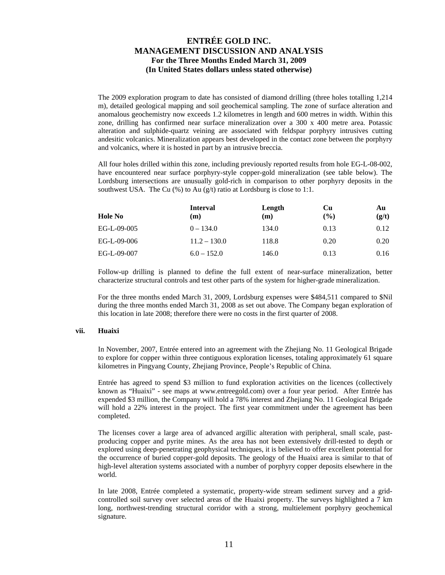The 2009 exploration program to date has consisted of diamond drilling (three holes totalling 1,214 m), detailed geological mapping and soil geochemical sampling. The zone of surface alteration and anomalous geochemistry now exceeds 1.2 kilometres in length and 600 metres in width. Within this zone, drilling has confirmed near surface mineralization over a 300 x 400 metre area. Potassic alteration and sulphide-quartz veining are associated with feldspar porphyry intrusives cutting andesitic volcanics. Mineralization appears best developed in the contact zone between the porphyry and volcanics, where it is hosted in part by an intrusive breccia.

All four holes drilled within this zone, including previously reported results from hole EG-L-08-002, have encountered near surface porphyry-style copper-gold mineralization (see table below). The Lordsburg intersections are unusually gold-rich in comparison to other porphyry deposits in the southwest USA. The Cu  $(\%)$  to Au  $(g/t)$  ratio at Lordsburg is close to 1:1.

| Hole No     | <b>Interval</b><br>(m) | Length<br>(m) | Cu<br>(%) | Au<br>(g/t) |
|-------------|------------------------|---------------|-----------|-------------|
| EG-L-09-005 | $0 - 134.0$            | 134.0         | 0.13      | 0.12        |
| EG-L-09-006 | $11.2 - 130.0$         | 118.8         | 0.20      | 0.20        |
| EG-L-09-007 | $6.0 - 152.0$          | 146.0         | 0.13      | 0.16        |

Follow-up drilling is planned to define the full extent of near-surface mineralization, better characterize structural controls and test other parts of the system for higher-grade mineralization.

For the three months ended March 31, 2009, Lordsburg expenses were \$484,511 compared to \$Nil during the three months ended March 31, 2008 as set out above. The Company began exploration of this location in late 2008; therefore there were no costs in the first quarter of 2008.

### **vii. Huaixi**

In November, 2007, Entrée entered into an agreement with the Zhejiang No. 11 Geological Brigade to explore for copper within three contiguous exploration licenses, totaling approximately 61 square kilometres in Pingyang County, Zhejiang Province, People's Republic of China.

Entrée has agreed to spend \$3 million to fund exploration activities on the licences (collectively known as "Huaixi" - see maps at www.entreegold.com) over a four year period. After Entrée has expended \$3 million, the Company will hold a 78% interest and Zhejiang No. 11 Geological Brigade will hold a 22% interest in the project. The first year commitment under the agreement has been completed.

The licenses cover a large area of advanced argillic alteration with peripheral, small scale, pastproducing copper and pyrite mines. As the area has not been extensively drill-tested to depth or explored using deep-penetrating geophysical techniques, it is believed to offer excellent potential for the occurrence of buried copper-gold deposits. The geology of the Huaixi area is similar to that of high-level alteration systems associated with a number of porphyry copper deposits elsewhere in the world.

In late 2008, Entrée completed a systematic, property-wide stream sediment survey and a gridcontrolled soil survey over selected areas of the Huaixi property. The surveys highlighted a 7 km long, northwest-trending structural corridor with a strong, multielement porphyry geochemical signature.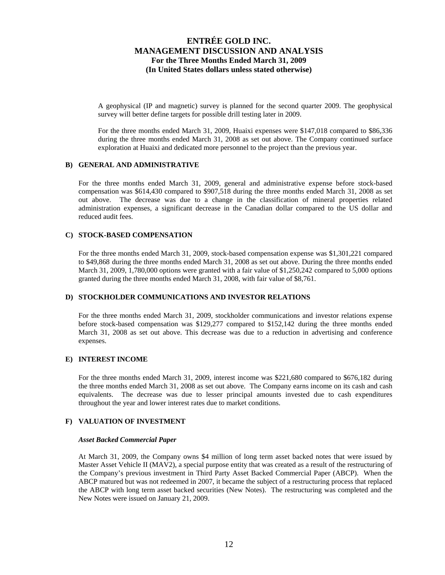A geophysical (IP and magnetic) survey is planned for the second quarter 2009. The geophysical survey will better define targets for possible drill testing later in 2009.

For the three months ended March 31, 2009, Huaixi expenses were \$147,018 compared to \$86,336 during the three months ended March 31, 2008 as set out above. The Company continued surface exploration at Huaixi and dedicated more personnel to the project than the previous year.

## **B) GENERAL AND ADMINISTRATIVE**

For the three months ended March 31, 2009, general and administrative expense before stock-based compensation was \$614,430 compared to \$907,518 during the three months ended March 31, 2008 as set out above. The decrease was due to a change in the classification of mineral properties related administration expenses, a significant decrease in the Canadian dollar compared to the US dollar and reduced audit fees.

## **C) STOCK-BASED COMPENSATION**

For the three months ended March 31, 2009, stock-based compensation expense was \$1,301,221 compared to \$49,868 during the three months ended March 31, 2008 as set out above. During the three months ended March 31, 2009, 1,780,000 options were granted with a fair value of \$1,250,242 compared to 5,000 options granted during the three months ended March 31, 2008, with fair value of \$8,761.

## **D) STOCKHOLDER COMMUNICATIONS AND INVESTOR RELATIONS**

For the three months ended March 31, 2009, stockholder communications and investor relations expense before stock-based compensation was \$129,277 compared to \$152,142 during the three months ended March 31, 2008 as set out above. This decrease was due to a reduction in advertising and conference expenses.

## **E) INTEREST INCOME**

For the three months ended March 31, 2009, interest income was \$221,680 compared to \$676,182 during the three months ended March 31, 2008 as set out above. The Company earns income on its cash and cash equivalents. The decrease was due to lesser principal amounts invested due to cash expenditures throughout the year and lower interest rates due to market conditions.

## **F) VALUATION OF INVESTMENT**

### *Asset Backed Commercial Paper*

At March 31, 2009, the Company owns \$4 million of long term asset backed notes that were issued by Master Asset Vehicle II (MAV2), a special purpose entity that was created as a result of the restructuring of the Company's previous investment in Third Party Asset Backed Commercial Paper (ABCP). When the ABCP matured but was not redeemed in 2007, it became the subject of a restructuring process that replaced the ABCP with long term asset backed securities (New Notes). The restructuring was completed and the New Notes were issued on January 21, 2009.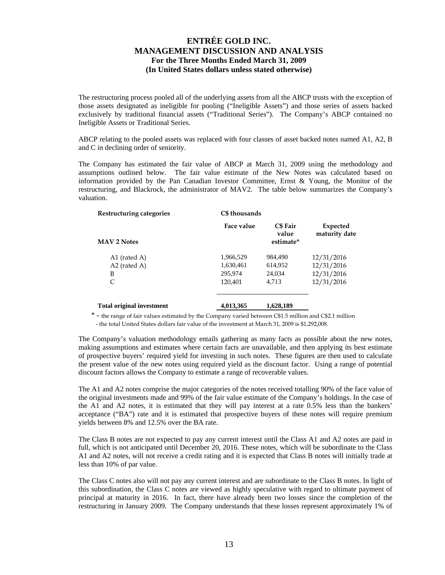The restructuring process pooled all of the underlying assets from all the ABCP trusts with the exception of those assets designated as ineligible for pooling ("Ineligible Assets") and those series of assets backed exclusively by traditional financial assets ("Traditional Series"). The Company's ABCP contained no Ineligible Assets or Traditional Series.

ABCP relating to the pooled assets was replaced with four classes of asset backed notes named A1, A2, B and C in declining order of seniority.

The Company has estimated the fair value of ABCP at March 31, 2009 using the methodology and assumptions outlined below. The fair value estimate of the New Notes was calculated based on information provided by the Pan Canadian Investor Committee, Ernst & Young, the Monitor of the restructuring, and Blackrock, the administrator of MAV2. The table below summarizes the Company's valuation.

| Restructuring categories         | C\$ thousands |                                       |                           |
|----------------------------------|---------------|---------------------------------------|---------------------------|
| <b>MAV 2 Notes</b>               | Face value    | <b>C\$</b> Fair<br>value<br>estimate* | Expected<br>maturity date |
| A1 (rated A)                     | 1,966,529     | 984,490                               | 12/31/2016                |
| A2 (rated A)                     | 1,630,461     | 614,952                               | 12/31/2016                |
| B                                | 295,974       | 24,034                                | 12/31/2016                |
| C                                | 120.401       | 4,713                                 | 12/31/2016                |
| <b>Total original investment</b> | 4,013,365     | 1,628,189                             |                           |

\* - the range of fair values estimated by the Company varied between C\$1.5 million and C\$2.1 million - the total United States dollars fair value of the investment at March 31, 2009 is \$1,292,008.

The Company's valuation methodology entails gathering as many facts as possible about the new notes, making assumptions and estimates where certain facts are unavailable, and then applying its best estimate of prospective buyers' required yield for investing in such notes. These figures are then used to calculate the present value of the new notes using required yield as the discount factor. Using a range of potential discount factors allows the Company to estimate a range of recoverable values.

The A1 and A2 notes comprise the major categories of the notes received totalling 90% of the face value of the original investments made and 99% of the fair value estimate of the Company's holdings. In the case of the A1 and A2 notes, it is estimated that they will pay interest at a rate 0.5% less than the bankers' acceptance ("BA") rate and it is estimated that prospective buyers of these notes will require premium yields between 8% and 12.5% over the BA rate.

The Class B notes are not expected to pay any current interest until the Class A1 and A2 notes are paid in full, which is not anticipated until December 20, 2016. These notes, which will be subordinate to the Class A1 and A2 notes, will not receive a credit rating and it is expected that Class B notes will initially trade at less than 10% of par value.

The Class C notes also will not pay any current interest and are subordinate to the Class B notes. In light of this subordination, the Class C notes are viewed as highly speculative with regard to ultimate payment of principal at maturity in 2016. In fact, there have already been two losses since the completion of the restructuring in January 2009. The Company understands that these losses represent approximately 1% of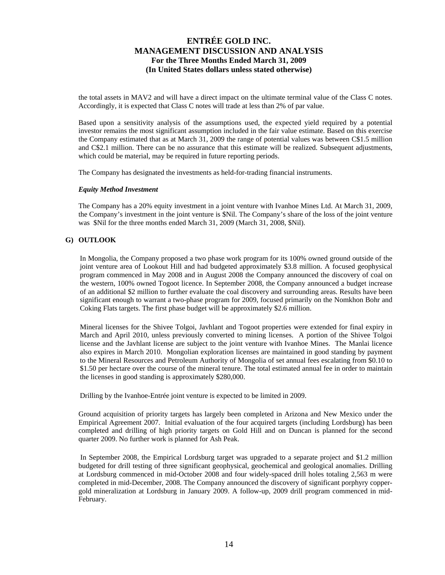the total assets in MAV2 and will have a direct impact on the ultimate terminal value of the Class C notes. Accordingly, it is expected that Class C notes will trade at less than 2% of par value.

Based upon a sensitivity analysis of the assumptions used, the expected yield required by a potential investor remains the most significant assumption included in the fair value estimate. Based on this exercise the Company estimated that as at March 31, 2009 the range of potential values was between C\$1.5 million and C\$2.1 million. There can be no assurance that this estimate will be realized. Subsequent adjustments, which could be material, may be required in future reporting periods.

The Company has designated the investments as held-for-trading financial instruments.

### *Equity Method Investment*

The Company has a 20% equity investment in a joint venture with Ivanhoe Mines Ltd. At March 31, 2009, the Company's investment in the joint venture is \$Nil. The Company's share of the loss of the joint venture was \$Nil for the three months ended March 31, 2009 (March 31, 2008, \$Nil).

## **G) OUTLOOK**

In Mongolia, the Company proposed a two phase work program for its 100% owned ground outside of the joint venture area of Lookout Hill and had budgeted approximately \$3.8 million. A focused geophysical program commenced in May 2008 and in August 2008 the Company announced the discovery of coal on the western, 100% owned Togoot licence. In September 2008, the Company announced a budget increase of an additional \$2 million to further evaluate the coal discovery and surrounding areas. Results have been significant enough to warrant a two-phase program for 2009, focused primarily on the Nomkhon Bohr and Coking Flats targets. The first phase budget will be approximately \$2.6 million.

Mineral licenses for the Shivee Tolgoi, Javhlant and Togoot properties were extended for final expiry in March and April 2010, unless previously converted to mining licenses. A portion of the Shivee Tolgoi license and the Javhlant license are subject to the joint venture with Ivanhoe Mines. The Manlai licence also expires in March 2010. Mongolian exploration licenses are maintained in good standing by payment to the Mineral Resources and Petroleum Authority of Mongolia of set annual fees escalating from \$0.10 to \$1.50 per hectare over the course of the mineral tenure. The total estimated annual fee in order to maintain the licenses in good standing is approximately \$280,000.

Drilling by the Ivanhoe-Entrée joint venture is expected to be limited in 2009.

Ground acquisition of priority targets has largely been completed in Arizona and New Mexico under the Empirical Agreement 2007. Initial evaluation of the four acquired targets (including Lordsburg) has been completed and drilling of high priority targets on Gold Hill and on Duncan is planned for the second quarter 2009. No further work is planned for Ash Peak.

 In September 2008, the Empirical Lordsburg target was upgraded to a separate project and \$1.2 million budgeted for drill testing of three significant geophysical, geochemical and geological anomalies. Drilling at Lordsburg commenced in mid-October 2008 and four widely-spaced drill holes totaling 2,563 m were completed in mid-December, 2008. The Company announced the discovery of significant porphyry coppergold mineralization at Lordsburg in January 2009. A follow-up, 2009 drill program commenced in mid-February.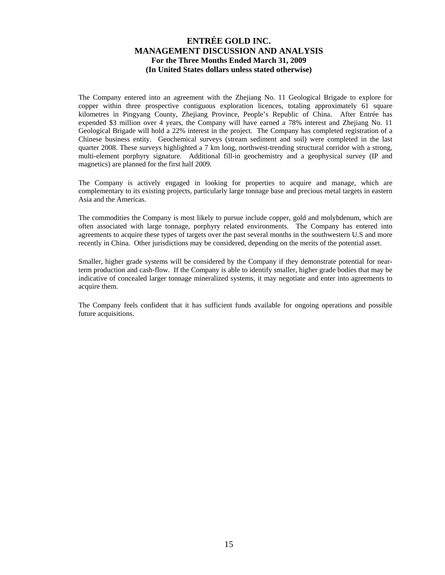The Company entered into an agreement with the Zhejiang No. 11 Geological Brigade to explore for copper within three prospective contiguous exploration licences, totaling approximately 61 square kilometres in Pingyang County, Zhejiang Province, People's Republic of China. After Entrée has expended \$3 million over 4 years, the Company will have earned a 78% interest and Zhejiang No. 11 Geological Brigade will hold a 22% interest in the project. The Company has completed registration of a Chinese business entity. Geochemical surveys (stream sediment and soil) were completed in the last quarter 2008. These surveys highlighted a 7 km long, northwest-trending structural corridor with a strong, multi-element porphyry signature. Additional fill-in geochemistry and a geophysical survey (IP and magnetics) are planned for the first half 2009.

The Company is actively engaged in looking for properties to acquire and manage, which are complementary to its existing projects, particularly large tonnage base and precious metal targets in eastern Asia and the Americas.

The commodities the Company is most likely to pursue include copper, gold and molybdenum, which are often associated with large tonnage, porphyry related environments. The Company has entered into agreements to acquire these types of targets over the past several months in the southwestern U.S and more recently in China. Other jurisdictions may be considered, depending on the merits of the potential asset.

Smaller, higher grade systems will be considered by the Company if they demonstrate potential for nearterm production and cash-flow. If the Company is able to identify smaller, higher grade bodies that may be indicative of concealed larger tonnage mineralized systems, it may negotiate and enter into agreements to acquire them.

The Company feels confident that it has sufficient funds available for ongoing operations and possible future acquisitions.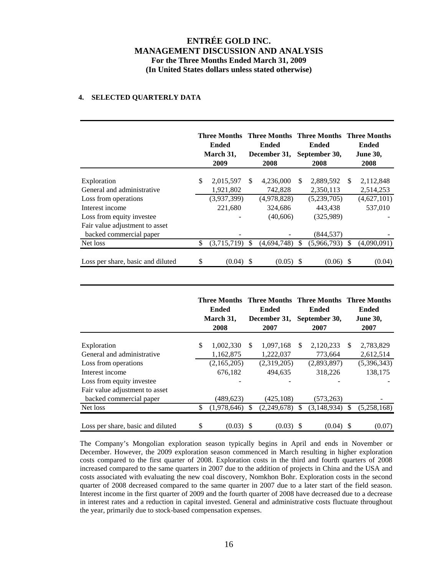## **4. SELECTED QUARTERLY DATA**

|                                                           |    | Three Months Three Months Three Months Three Months<br><b>Ended</b><br>March 31,<br>2009 |     | Ended<br>December 31,<br>2008 |     | Ended<br>September 30,<br>2008 |               | Ended<br><b>June 30,</b><br>2008 |
|-----------------------------------------------------------|----|------------------------------------------------------------------------------------------|-----|-------------------------------|-----|--------------------------------|---------------|----------------------------------|
| Exploration                                               | \$ | 2,015,597                                                                                | \$. | 4,236,000                     | \$. | 2,889,592                      | <sup>\$</sup> | 2,112,848                        |
| General and administrative                                |    | 1,921,802                                                                                |     | 742,828                       |     | 2,350,113                      |               | 2,514,253                        |
| Loss from operations                                      |    | (3,937,399)                                                                              |     | (4,978,828)                   |     | (5,239,705)                    |               | (4,627,101)                      |
| Interest income                                           |    | 221.680                                                                                  |     | 324,686                       |     | 443.438                        |               | 537,010                          |
| Loss from equity investee                                 |    |                                                                                          |     | (40,606)                      |     | (325,989)                      |               |                                  |
| Fair value adjustment to asset<br>backed commercial paper |    |                                                                                          |     |                               |     | (844,537)                      |               |                                  |
| Net loss                                                  | \$ | (3,715,719)                                                                              |     | (4,694,748)                   |     | (5,966,793)                    | \$.           | (4,090,091)                      |
| Loss per share, basic and diluted                         | S  | (0.04)                                                                                   | -S  | (0.05)                        | S   | (0.06)                         | -S            | (0.04)                           |

|                                   | <b>Three Months</b><br><b>Ended</b><br>March 31,<br>2008 |     | <b>Three Months Three Months Three Months</b><br><b>Ended</b><br>December 31,<br>2007 |               | Ended<br>September 30,<br>2007 | Ended<br><b>June 30,</b><br>2007 |
|-----------------------------------|----------------------------------------------------------|-----|---------------------------------------------------------------------------------------|---------------|--------------------------------|----------------------------------|
| Exploration                       | \$<br>1,002,330                                          | \$. | 1,097,168                                                                             | \$            | 2,120,233                      | \$<br>2,783,829                  |
| General and administrative        | 1,162,875                                                |     | 1,222,037                                                                             |               | 773.664                        | 2,612,514                        |
| Loss from operations              | (2,165,205)                                              |     | (2,319,205)                                                                           |               | (2,893,897)                    | (5,396,343)                      |
| Interest income                   | 676,182                                                  |     | 494.635                                                                               |               | 318,226                        | 138,175                          |
| Loss from equity investee         |                                                          |     |                                                                                       |               |                                |                                  |
| Fair value adjustment to asset    |                                                          |     |                                                                                       |               |                                |                                  |
| backed commercial paper           | (489,623)                                                |     | (425, 108)                                                                            |               | (573, 263)                     |                                  |
| Net loss                          | \$<br>(1,978,646)                                        | \$. | (2,249,678)                                                                           | <sup>\$</sup> | (3, 148, 934)                  | \$<br>(5,258,168)                |
| Loss per share, basic and diluted | \$<br>(0.03)                                             |     | $(0.03)$ \$                                                                           |               | (0.04)                         | (0.07)                           |

The Company's Mongolian exploration season typically begins in April and ends in November or December. However, the 2009 exploration season commenced in March resulting in higher exploration costs compared to the first quarter of 2008. Exploration costs in the third and fourth quarters of 2008 increased compared to the same quarters in 2007 due to the addition of projects in China and the USA and costs associated with evaluating the new coal discovery, Nomkhon Bohr. Exploration costs in the second quarter of 2008 decreased compared to the same quarter in 2007 due to a later start of the field season. Interest income in the first quarter of 2009 and the fourth quarter of 2008 have decreased due to a decrease in interest rates and a reduction in capital invested. General and administrative costs fluctuate throughout the year, primarily due to stock-based compensation expenses.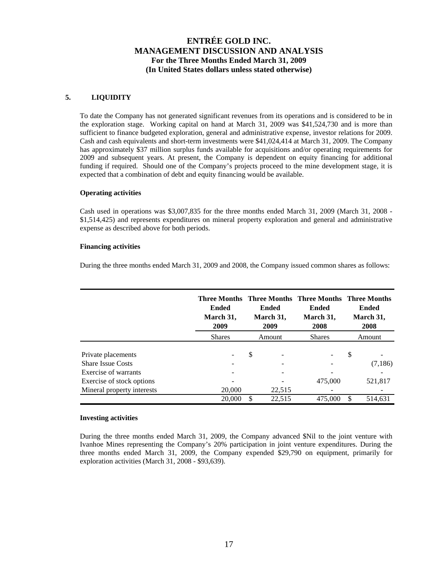## **5. LIQUIDITY**

To date the Company has not generated significant revenues from its operations and is considered to be in the exploration stage. Working capital on hand at March 31, 2009 was \$41,524,730 and is more than sufficient to finance budgeted exploration, general and administrative expense, investor relations for 2009. Cash and cash equivalents and short-term investments were \$41,024,414 at March 31, 2009. The Company has approximately \$37 million surplus funds available for acquisitions and/or operating requirements for 2009 and subsequent years. At present, the Company is dependent on equity financing for additional funding if required. Should one of the Company's projects proceed to the mine development stage, it is expected that a combination of debt and equity financing would be available.

### **Operating activities**

Cash used in operations was \$3,007,835 for the three months ended March 31, 2009 (March 31, 2008 - \$1,514,425) and represents expenditures on mineral property exploration and general and administrative expense as described above for both periods.

## **Financing activities**

During the three months ended March 31, 2009 and 2008, the Company issued common shares as follows:

|                                                   | <b>Ended</b><br>March 31,<br>2009<br><b>Shares</b> |    | <b>Ended</b><br>March 31,<br>2009 | Ended<br>March 31,<br>2008 | <b>Three Months Three Months Three Months Three Months</b><br><b>Ended</b><br>March 31,<br>2008<br>Amount |          |
|---------------------------------------------------|----------------------------------------------------|----|-----------------------------------|----------------------------|-----------------------------------------------------------------------------------------------------------|----------|
|                                                   |                                                    |    | Amount                            | <b>Shares</b>              |                                                                                                           |          |
| Private placements<br><b>Share Issue Costs</b>    |                                                    | \$ |                                   |                            | \$                                                                                                        | (7, 186) |
| Exercise of warrants<br>Exercise of stock options |                                                    |    |                                   | 475,000                    |                                                                                                           | 521,817  |
| Mineral property interests                        | 20,000<br>20,000                                   | S. | 22,515<br>22,515                  | 475,000                    | S                                                                                                         | 514.631  |

### **Investing activities**

During the three months ended March 31, 2009, the Company advanced \$Nil to the joint venture with Ivanhoe Mines representing the Company's 20% participation in joint venture expenditures. During the three months ended March 31, 2009, the Company expended \$29,790 on equipment, primarily for exploration activities (March 31, 2008 - \$93,639).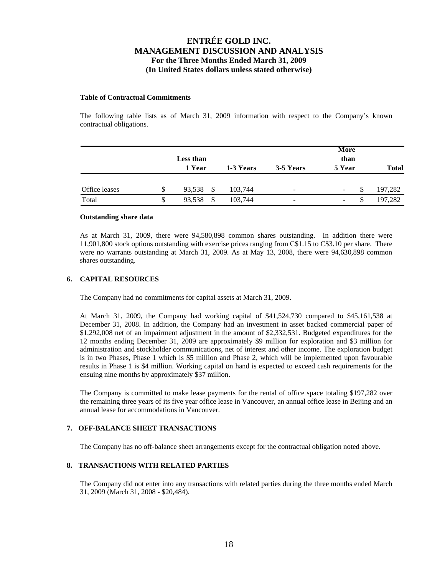### **Table of Contractual Commitments**

The following table lists as of March 31, 2009 information with respect to the Company's known contractual obligations.

|               |    | Less than<br>1 Year | 1-3 Years | 3-5 Years                    | More<br>than<br>5 Year | <b>Total</b> |
|---------------|----|---------------------|-----------|------------------------------|------------------------|--------------|
| Office leases | S  | 93,538<br>- \$      | 103,744   | $\qquad \qquad \blacksquare$ | -                      | 197,282      |
| Total         | \$ | 93,538              | 103,744   | -                            | ۰.                     | 197,282      |

#### **Outstanding share data**

As at March 31, 2009, there were 94,580,898 common shares outstanding. In addition there were 11,901,800 stock options outstanding with exercise prices ranging from C\$1.15 to C\$3.10 per share. There were no warrants outstanding at March 31, 2009. As at May 13, 2008, there were 94,630,898 common shares outstanding.

### **6. CAPITAL RESOURCES**

The Company had no commitments for capital assets at March 31, 2009.

At March 31, 2009, the Company had working capital of \$41,524,730 compared to \$45,161,538 at December 31, 2008. In addition, the Company had an investment in asset backed commercial paper of \$1,292,008 net of an impairment adjustment in the amount of \$2,332,531. Budgeted expenditures for the 12 months ending December 31, 2009 are approximately \$9 million for exploration and \$3 million for administration and stockholder communications, net of interest and other income. The exploration budget is in two Phases, Phase 1 which is \$5 million and Phase 2, which will be implemented upon favourable results in Phase 1 is \$4 million. Working capital on hand is expected to exceed cash requirements for the ensuing nine months by approximately \$37 million.

The Company is committed to make lease payments for the rental of office space totaling \$197,282 over the remaining three years of its five year office lease in Vancouver, an annual office lease in Beijing and an annual lease for accommodations in Vancouver.

### **7. OFF-BALANCE SHEET TRANSACTIONS**

The Company has no off-balance sheet arrangements except for the contractual obligation noted above.

## **8. TRANSACTIONS WITH RELATED PARTIES**

The Company did not enter into any transactions with related parties during the three months ended March 31, 2009 (March 31, 2008 - \$20,484).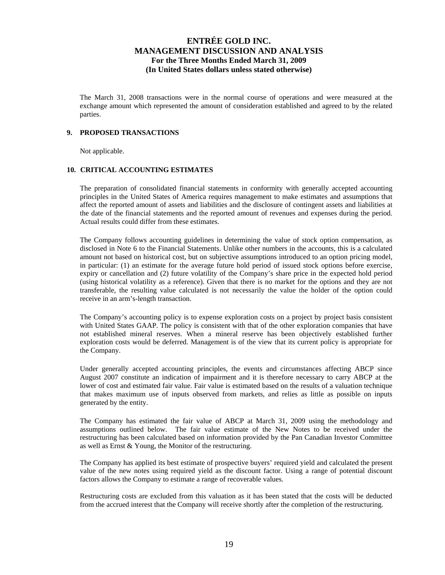The March 31, 2008 transactions were in the normal course of operations and were measured at the exchange amount which represented the amount of consideration established and agreed to by the related parties.

### **9. PROPOSED TRANSACTIONS**

Not applicable.

## **10. CRITICAL ACCOUNTING ESTIMATES**

The preparation of consolidated financial statements in conformity with generally accepted accounting principles in the United States of America requires management to make estimates and assumptions that affect the reported amount of assets and liabilities and the disclosure of contingent assets and liabilities at the date of the financial statements and the reported amount of revenues and expenses during the period. Actual results could differ from these estimates.

The Company follows accounting guidelines in determining the value of stock option compensation, as disclosed in Note 6 to the Financial Statements. Unlike other numbers in the accounts, this is a calculated amount not based on historical cost, but on subjective assumptions introduced to an option pricing model, in particular: (1) an estimate for the average future hold period of issued stock options before exercise, expiry or cancellation and (2) future volatility of the Company's share price in the expected hold period (using historical volatility as a reference). Given that there is no market for the options and they are not transferable, the resulting value calculated is not necessarily the value the holder of the option could receive in an arm's-length transaction.

The Company's accounting policy is to expense exploration costs on a project by project basis consistent with United States GAAP. The policy is consistent with that of the other exploration companies that have not established mineral reserves. When a mineral reserve has been objectively established further exploration costs would be deferred. Management is of the view that its current policy is appropriate for the Company.

Under generally accepted accounting principles, the events and circumstances affecting ABCP since August 2007 constitute an indication of impairment and it is therefore necessary to carry ABCP at the lower of cost and estimated fair value. Fair value is estimated based on the results of a valuation technique that makes maximum use of inputs observed from markets, and relies as little as possible on inputs generated by the entity.

The Company has estimated the fair value of ABCP at March 31, 2009 using the methodology and assumptions outlined below. The fair value estimate of the New Notes to be received under the restructuring has been calculated based on information provided by the Pan Canadian Investor Committee as well as Ernst & Young, the Monitor of the restructuring.

The Company has applied its best estimate of prospective buyers' required yield and calculated the present value of the new notes using required yield as the discount factor. Using a range of potential discount factors allows the Company to estimate a range of recoverable values.

Restructuring costs are excluded from this valuation as it has been stated that the costs will be deducted from the accrued interest that the Company will receive shortly after the completion of the restructuring.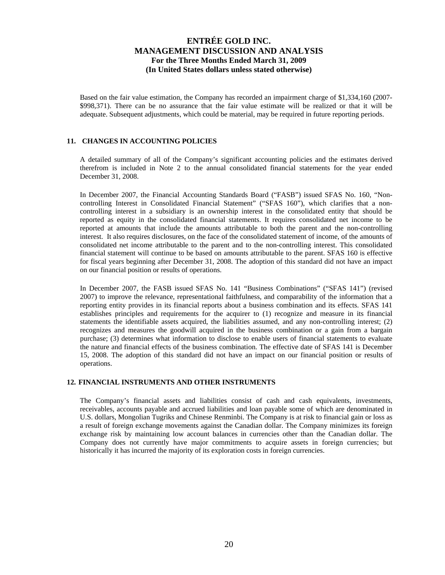Based on the fair value estimation, the Company has recorded an impairment charge of \$1,334,160 (2007- \$998,371). There can be no assurance that the fair value estimate will be realized or that it will be adequate. Subsequent adjustments, which could be material, may be required in future reporting periods.

## **11. CHANGES IN ACCOUNTING POLICIES**

A detailed summary of all of the Company's significant accounting policies and the estimates derived therefrom is included in Note 2 to the annual consolidated financial statements for the year ended December 31, 2008.

In December 2007, the Financial Accounting Standards Board ("FASB") issued SFAS No. 160, "Noncontrolling Interest in Consolidated Financial Statement" ("SFAS 160"), which clarifies that a noncontrolling interest in a subsidiary is an ownership interest in the consolidated entity that should be reported as equity in the consolidated financial statements. It requires consolidated net income to be reported at amounts that include the amounts attributable to both the parent and the non-controlling interest. It also requires disclosures, on the face of the consolidated statement of income, of the amounts of consolidated net income attributable to the parent and to the non-controlling interest. This consolidated financial statement will continue to be based on amounts attributable to the parent. SFAS 160 is effective for fiscal years beginning after December 31, 2008. The adoption of this standard did not have an impact on our financial position or results of operations.

In December 2007, the FASB issued SFAS No. 141 "Business Combinations" ("SFAS 141") (revised 2007) to improve the relevance, representational faithfulness, and comparability of the information that a reporting entity provides in its financial reports about a business combination and its effects. SFAS 141 establishes principles and requirements for the acquirer to (1) recognize and measure in its financial statements the identifiable assets acquired, the liabilities assumed, and any non-controlling interest; (2) recognizes and measures the goodwill acquired in the business combination or a gain from a bargain purchase; (3) determines what information to disclose to enable users of financial statements to evaluate the nature and financial effects of the business combination. The effective date of SFAS 141 is December 15, 2008. The adoption of this standard did not have an impact on our financial position or results of operations.

## **12. FINANCIAL INSTRUMENTS AND OTHER INSTRUMENTS**

The Company's financial assets and liabilities consist of cash and cash equivalents, investments, receivables, accounts payable and accrued liabilities and loan payable some of which are denominated in U.S. dollars, Mongolian Tugriks and Chinese Renminbi. The Company is at risk to financial gain or loss as a result of foreign exchange movements against the Canadian dollar. The Company minimizes its foreign exchange risk by maintaining low account balances in currencies other than the Canadian dollar. The Company does not currently have major commitments to acquire assets in foreign currencies; but historically it has incurred the majority of its exploration costs in foreign currencies.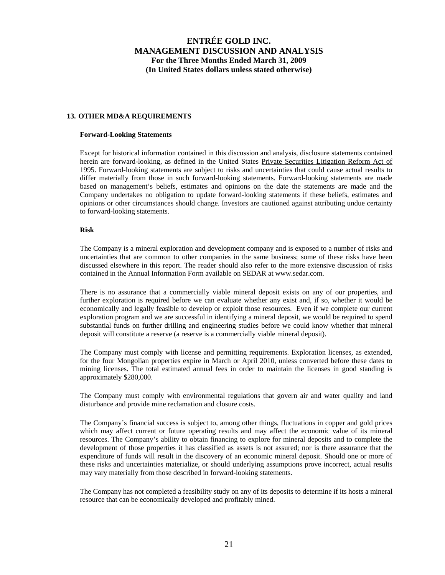## **13. OTHER MD&A REQUIREMENTS**

#### **Forward-Looking Statements**

Except for historical information contained in this discussion and analysis, disclosure statements contained herein are forward-looking, as defined in the United States Private Securities Litigation Reform Act of 1995. Forward-looking statements are subject to risks and uncertainties that could cause actual results to differ materially from those in such forward-looking statements. Forward-looking statements are made based on management's beliefs, estimates and opinions on the date the statements are made and the Company undertakes no obligation to update forward-looking statements if these beliefs, estimates and opinions or other circumstances should change. Investors are cautioned against attributing undue certainty to forward-looking statements.

### **Risk**

The Company is a mineral exploration and development company and is exposed to a number of risks and uncertainties that are common to other companies in the same business; some of these risks have been discussed elsewhere in this report. The reader should also refer to the more extensive discussion of risks contained in the Annual Information Form available on SEDAR at www.sedar.com.

There is no assurance that a commercially viable mineral deposit exists on any of our properties, and further exploration is required before we can evaluate whether any exist and, if so, whether it would be economically and legally feasible to develop or exploit those resources. Even if we complete our current exploration program and we are successful in identifying a mineral deposit, we would be required to spend substantial funds on further drilling and engineering studies before we could know whether that mineral deposit will constitute a reserve (a reserve is a commercially viable mineral deposit).

The Company must comply with license and permitting requirements. Exploration licenses, as extended, for the four Mongolian properties expire in March or April 2010, unless converted before these dates to mining licenses. The total estimated annual fees in order to maintain the licenses in good standing is approximately \$280,000.

The Company must comply with environmental regulations that govern air and water quality and land disturbance and provide mine reclamation and closure costs.

The Company's financial success is subject to, among other things, fluctuations in copper and gold prices which may affect current or future operating results and may affect the economic value of its mineral resources. The Company's ability to obtain financing to explore for mineral deposits and to complete the development of those properties it has classified as assets is not assured; nor is there assurance that the expenditure of funds will result in the discovery of an economic mineral deposit. Should one or more of these risks and uncertainties materialize, or should underlying assumptions prove incorrect, actual results may vary materially from those described in forward-looking statements.

The Company has not completed a feasibility study on any of its deposits to determine if its hosts a mineral resource that can be economically developed and profitably mined.